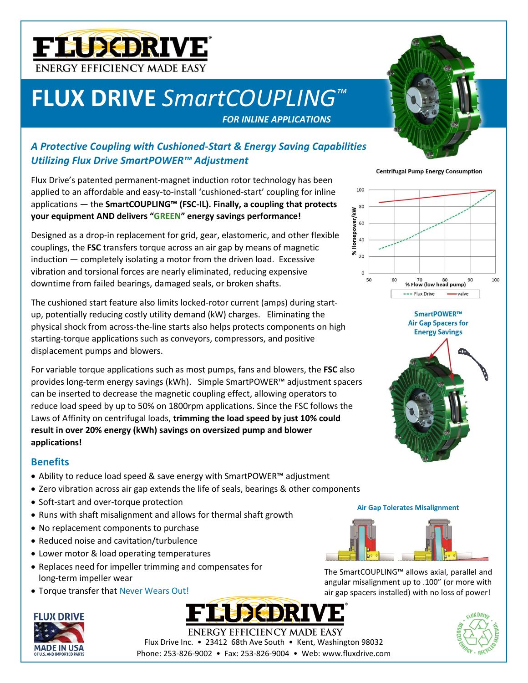

## **FLUX DRIVE** *SmartCOUPLING™*

*FOR INLINE APPLICATIONS*



### *A Protective Coupling with Cushioned-Start & Energy Saving Capabilities Utilizing Flux Drive SmartPOWER™ Adjustment*

Flux Drive's patented permanent-magnet induction rotor technology has been applied to an affordable and easy-to-install 'cushioned-start' coupling for inline applications — the **SmartCOUPLING™ (FSC-IL). Finally, a coupling that protects your equipment AND delivers "GREEN" energy savings performance!**

Designed as a drop-in replacement for grid, gear, elastomeric, and other flexible couplings, the **FSC** transfers torque across an air gap by means of magnetic induction — completely isolating a motor from the driven load. Excessive vibration and torsional forces are nearly eliminated, reducing expensive downtime from failed bearings, damaged seals, or broken shafts.

The cushioned start feature also limits locked-rotor current (amps) during startup, potentially reducing costly utility demand (kW) charges. Eliminating the physical shock from across-the-line starts also helps protects components on high starting-torque applications such as conveyors, compressors, and positive displacement pumps and blowers.

For variable torque applications such as most pumps, fans and blowers, the **FSC** also provides long-term energy savings (kWh). Simple SmartPOWER™ adjustment spacers can be inserted to decrease the magnetic coupling effect, allowing operators to reduce load speed by up to 50% on 1800rpm applications. Since the FSC follows the Laws of Affinity on centrifugal loads, **trimming the load speed by just 10% could result in over 20% energy (kWh) savings on oversized pump and blower applications!**

### **Benefits**

- Ability to reduce load speed & save energy with SmartPOWER™ adjustment
- Zero vibration across air gap extends the life of seals, bearings & other components
- Soft-start and over-torque protection
- Runs with shaft misalignment and allows for thermal shaft growth
- No replacement components to purchase
- Reduced noise and cavitation/turbulence
- Lower motor & load operating temperatures
- Replaces need for impeller trimming and compensates for long-term impeller wear
- Torque transfer that Never Wears Out!



The SmartCOUPLING™ allows axial, parallel and angular misalignment up to .100" (or more with air gap spacers installed) with no loss of power!

**Air Gap Tolerates Misalignment**



**Centrifugal Pump Energy Consumption** 



SmartPOWER™ **Air Gap Spacers for** 



# **ENERGY EFFICIENCY MADE EASY**

Flux Drive Inc. • 23412 68th Ave South • Kent, Washington 98032 Phone: 253-826-9002 • Fax: 253-826-9004 • Web: www.fluxdrive.com